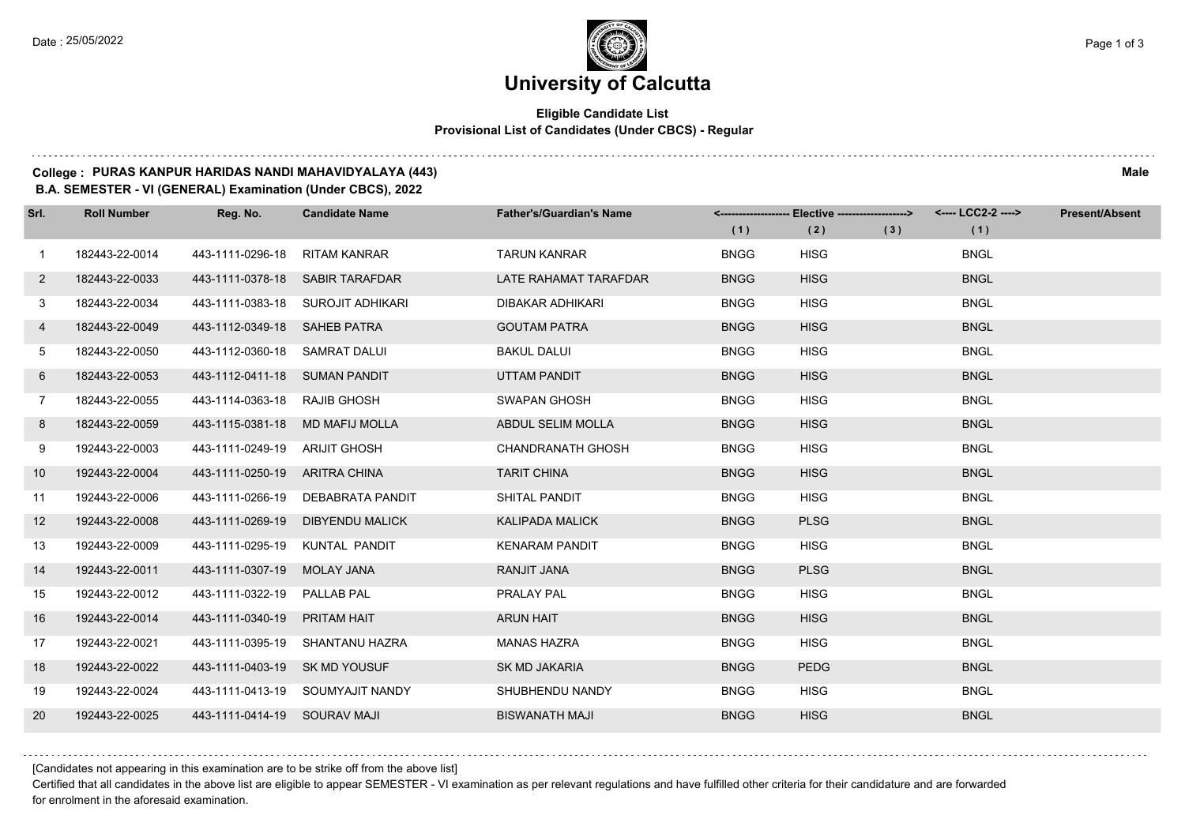. . . . .

# **University of Calcutta**

### **Eligible Candidate List Provisional List of Candidates (Under CBCS) - Regular**

#### **College : PURAS KANPUR HARIDAS NANDI MAHAVIDYALAYA (443) Male**

**B.A. SEMESTER - VI (GENERAL) Examination (Under CBCS), 2022**

| Srl.         | <b>Roll Number</b> | Reg. No.                      | <b>Candidate Name</b>             | <b>Father's/Guardian's Name</b> |             | <------------------- Elective ------------------> |     | <---- LCC2-2 ----> | <b>Present/Absent</b> |
|--------------|--------------------|-------------------------------|-----------------------------------|---------------------------------|-------------|---------------------------------------------------|-----|--------------------|-----------------------|
|              |                    |                               |                                   |                                 | (1)         | (2)                                               | (3) | (1)                |                       |
| $\mathbf{1}$ | 182443-22-0014     | 443-1111-0296-18              | <b>RITAM KANRAR</b>               | <b>TARUN KANRAR</b>             | <b>BNGG</b> | <b>HISG</b>                                       |     | <b>BNGL</b>        |                       |
| $\mathbf{2}$ | 182443-22-0033     |                               | 443-1111-0378-18 SABIR TARAFDAR   | LATE RAHAMAT TARAFDAR           | <b>BNGG</b> | <b>HISG</b>                                       |     | <b>BNGL</b>        |                       |
| 3            | 182443-22-0034     |                               | 443-1111-0383-18 SUROJIT ADHIKARI | <b>DIBAKAR ADHIKARI</b>         | <b>BNGG</b> | <b>HISG</b>                                       |     | <b>BNGL</b>        |                       |
| 4            | 182443-22-0049     | 443-1112-0349-18 SAHEB PATRA  |                                   | <b>GOUTAM PATRA</b>             | <b>BNGG</b> | <b>HISG</b>                                       |     | <b>BNGL</b>        |                       |
| 5            | 182443-22-0050     | 443-1112-0360-18 SAMRAT DALUI |                                   | <b>BAKUL DALUI</b>              | <b>BNGG</b> | <b>HISG</b>                                       |     | <b>BNGL</b>        |                       |
| 6            | 182443-22-0053     | 443-1112-0411-18 SUMAN PANDIT |                                   | UTTAM PANDIT                    | <b>BNGG</b> | <b>HISG</b>                                       |     | <b>BNGL</b>        |                       |
| $7^{\circ}$  | 182443-22-0055     | 443-1114-0363-18 RAJIB GHOSH  |                                   | <b>SWAPAN GHOSH</b>             | <b>BNGG</b> | <b>HISG</b>                                       |     | <b>BNGL</b>        |                       |
| 8            | 182443-22-0059     |                               | 443-1115-0381-18 MD MAFIJ MOLLA   | ABDUL SELIM MOLLA               | <b>BNGG</b> | <b>HISG</b>                                       |     | <b>BNGL</b>        |                       |
| 9            | 192443-22-0003     | 443-1111-0249-19 ARIJIT GHOSH |                                   | <b>CHANDRANATH GHOSH</b>        | <b>BNGG</b> | <b>HISG</b>                                       |     | <b>BNGL</b>        |                       |
| 10           | 192443-22-0004     | 443-1111-0250-19 ARITRA CHINA |                                   | <b>TARIT CHINA</b>              | <b>BNGG</b> | <b>HISG</b>                                       |     | <b>BNGL</b>        |                       |
| 11           | 192443-22-0006     |                               | 443-1111-0266-19 DEBABRATA PANDIT | SHITAL PANDIT                   | <b>BNGG</b> | <b>HISG</b>                                       |     | <b>BNGL</b>        |                       |
| 12           | 192443-22-0008     |                               | 443-1111-0269-19 DIBYENDU MALICK  | <b>KALIPADA MALICK</b>          | <b>BNGG</b> | <b>PLSG</b>                                       |     | <b>BNGL</b>        |                       |
| 13           | 192443-22-0009     | 443-1111-0295-19              | KUNTAL PANDIT                     | <b>KENARAM PANDIT</b>           | <b>BNGG</b> | <b>HISG</b>                                       |     | <b>BNGL</b>        |                       |
| 14           | 192443-22-0011     | 443-1111-0307-19              | <b>MOLAY JANA</b>                 | RANJIT JANA                     | <b>BNGG</b> | <b>PLSG</b>                                       |     | <b>BNGL</b>        |                       |
| 15           | 192443-22-0012     | 443-1111-0322-19 PALLAB PAL   |                                   | PRALAY PAL                      | <b>BNGG</b> | <b>HISG</b>                                       |     | <b>BNGL</b>        |                       |
| 16           | 192443-22-0014     | 443-1111-0340-19              | PRITAM HAIT                       | <b>ARUN HAIT</b>                | <b>BNGG</b> | <b>HISG</b>                                       |     | <b>BNGL</b>        |                       |
| 17           | 192443-22-0021     | 443-1111-0395-19              | <b>SHANTANU HAZRA</b>             | <b>MANAS HAZRA</b>              | <b>BNGG</b> | <b>HISG</b>                                       |     | <b>BNGL</b>        |                       |
| 18           | 192443-22-0022     | 443-1111-0403-19 SK MD YOUSUF |                                   | <b>SK MD JAKARIA</b>            | <b>BNGG</b> | <b>PEDG</b>                                       |     | <b>BNGL</b>        |                       |
| 19           | 192443-22-0024     |                               | 443-1111-0413-19 SOUMYAJIT NANDY  | SHUBHENDU NANDY                 | <b>BNGG</b> | <b>HISG</b>                                       |     | <b>BNGL</b>        |                       |
| 20           | 192443-22-0025     | 443-1111-0414-19 SOURAV MAJI  |                                   | <b>BISWANATH MAJI</b>           | <b>BNGG</b> | <b>HISG</b>                                       |     | <b>BNGL</b>        |                       |

[Candidates not appearing in this examination are to be strike off from the above list]

Certified that all candidates in the above list are eligible to appear SEMESTER - VI examination as per relevant regulations and have fulfilled other criteria for their candidature and are forwarded for enrolment in the aforesaid examination.

and a state of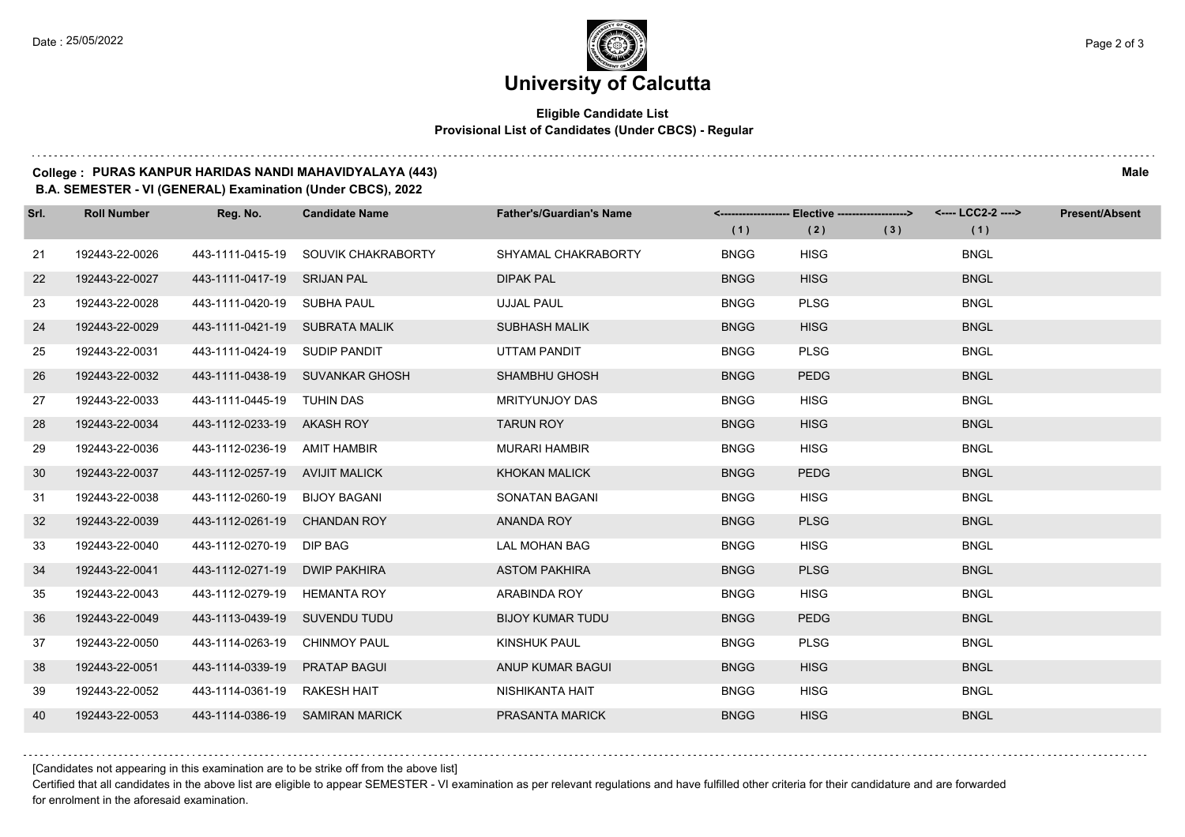## **University of Calcutta**

### **Eligible Candidate List Provisional List of Candidates (Under CBCS) - Regular**

#### **College : PURAS KANPUR HARIDAS NANDI MAHAVIDYALAYA (443) Male**

**B.A. SEMESTER - VI (GENERAL) Examination (Under CBCS), 2022**

| Srl. | <b>Roll Number</b> | Reg. No.                       | <b>Candidate Name</b>               | <b>Father's/Guardian's Name</b> | (1)         | <-------------------- Elective -------------------><br>(2) | (3) | (1)         | <b>Present/Absent</b> |
|------|--------------------|--------------------------------|-------------------------------------|---------------------------------|-------------|------------------------------------------------------------|-----|-------------|-----------------------|
| 21   | 192443-22-0026     |                                | 443-1111-0415-19 SOUVIK CHAKRABORTY | SHYAMAL CHAKRABORTY             | <b>BNGG</b> | <b>HISG</b>                                                |     | <b>BNGL</b> |                       |
| 22   | 192443-22-0027     | 443-1111-0417-19 SRIJAN PAL    |                                     | <b>DIPAK PAL</b>                | <b>BNGG</b> | <b>HISG</b>                                                |     | <b>BNGL</b> |                       |
| 23   | 192443-22-0028     | 443-1111-0420-19 SUBHA PAUL    |                                     | <b>UJJAL PAUL</b>               | <b>BNGG</b> | <b>PLSG</b>                                                |     | <b>BNGL</b> |                       |
| 24   | 192443-22-0029     | 443-1111-0421-19 SUBRATA MALIK |                                     | <b>SUBHASH MALIK</b>            | <b>BNGG</b> | <b>HISG</b>                                                |     | <b>BNGL</b> |                       |
| 25   | 192443-22-0031     | 443-1111-0424-19 SUDIP PANDIT  |                                     | UTTAM PANDIT                    | <b>BNGG</b> | <b>PLSG</b>                                                |     | <b>BNGL</b> |                       |
| 26   | 192443-22-0032     |                                | 443-1111-0438-19 SUVANKAR GHOSH     | <b>SHAMBHU GHOSH</b>            | <b>BNGG</b> | <b>PEDG</b>                                                |     | <b>BNGL</b> |                       |
| 27   | 192443-22-0033     | 443-1111-0445-19 TUHIN DAS     |                                     | MRITYUNJOY DAS                  | <b>BNGG</b> | <b>HISG</b>                                                |     | <b>BNGL</b> |                       |
| 28   | 192443-22-0034     | 443-1112-0233-19 AKASH ROY     |                                     | <b>TARUN ROY</b>                | <b>BNGG</b> | <b>HISG</b>                                                |     | <b>BNGL</b> |                       |
| 29   | 192443-22-0036     | 443-1112-0236-19 AMIT HAMBIR   |                                     | <b>MURARI HAMBIR</b>            | <b>BNGG</b> | <b>HISG</b>                                                |     | <b>BNGL</b> |                       |
| 30   | 192443-22-0037     | 443-1112-0257-19 AVIJIT MALICK |                                     | <b>KHOKAN MALICK</b>            | <b>BNGG</b> | <b>PEDG</b>                                                |     | <b>BNGL</b> |                       |
| 31   | 192443-22-0038     | 443-1112-0260-19 BIJOY BAGANI  |                                     | SONATAN BAGANI                  | <b>BNGG</b> | <b>HISG</b>                                                |     | <b>BNGL</b> |                       |
| 32   | 192443-22-0039     | 443-1112-0261-19 CHANDAN ROY   |                                     | <b>ANANDA ROY</b>               | <b>BNGG</b> | <b>PLSG</b>                                                |     | <b>BNGL</b> |                       |
| 33   | 192443-22-0040     | 443-1112-0270-19 DIP BAG       |                                     | <b>LAL MOHAN BAG</b>            | <b>BNGG</b> | <b>HISG</b>                                                |     | <b>BNGL</b> |                       |
| 34   | 192443-22-0041     | 443-1112-0271-19 DWIP PAKHIRA  |                                     | <b>ASTOM PAKHIRA</b>            | <b>BNGG</b> | <b>PLSG</b>                                                |     | <b>BNGL</b> |                       |
| 35   | 192443-22-0043     | 443-1112-0279-19 HEMANTA ROY   |                                     | ARABINDA ROY                    | <b>BNGG</b> | <b>HISG</b>                                                |     | <b>BNGL</b> |                       |
| 36   | 192443-22-0049     | 443-1113-0439-19 SUVENDU TUDU  |                                     | <b>BIJOY KUMAR TUDU</b>         | <b>BNGG</b> | <b>PEDG</b>                                                |     | <b>BNGL</b> |                       |
| 37   | 192443-22-0050     | 443-1114-0263-19 CHINMOY PAUL  |                                     | KINSHUK PAUL                    | <b>BNGG</b> | <b>PLSG</b>                                                |     | <b>BNGL</b> |                       |
| 38   | 192443-22-0051     | 443-1114-0339-19               | <b>PRATAP BAGUI</b>                 | ANUP KUMAR BAGUI                | <b>BNGG</b> | <b>HISG</b>                                                |     | <b>BNGL</b> |                       |
| 39   | 192443-22-0052     | 443-1114-0361-19 RAKESH HAIT   |                                     | NISHIKANTA HAIT                 | <b>BNGG</b> | <b>HISG</b>                                                |     | <b>BNGL</b> |                       |
| 40   | 192443-22-0053     |                                | 443-1114-0386-19 SAMIRAN MARICK     | PRASANTA MARICK                 | <b>BNGG</b> | <b>HISG</b>                                                |     | <b>BNGL</b> |                       |

[Candidates not appearing in this examination are to be strike off from the above list]

Certified that all candidates in the above list are eligible to appear SEMESTER - VI examination as per relevant regulations and have fulfilled other criteria for their candidature and are forwarded for enrolment in the aforesaid examination.